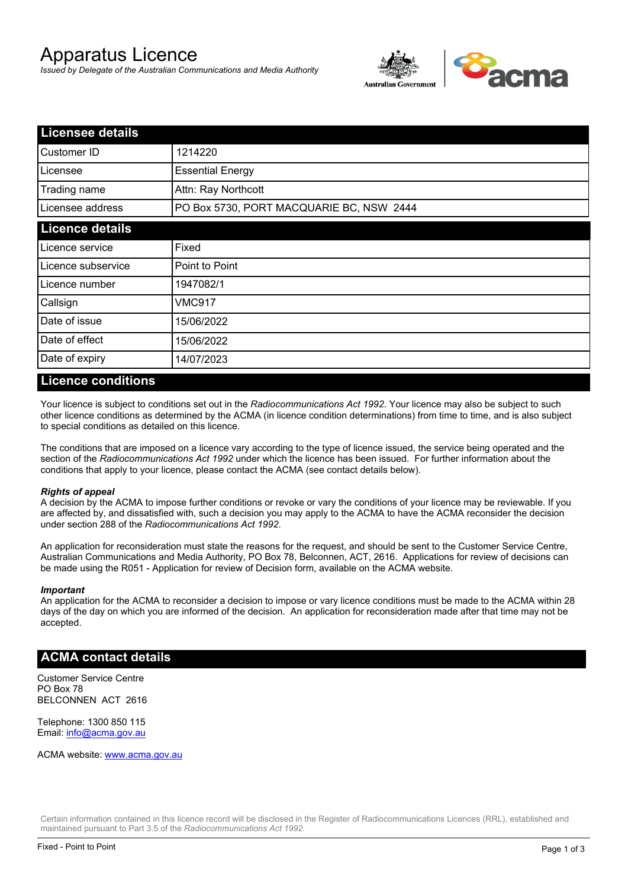# Apparatus Licence

*Issued by Delegate of the Australian Communications and Media Authority*



| <b>Licensee details</b> |                                          |  |  |
|-------------------------|------------------------------------------|--|--|
| Customer ID             | 1214220                                  |  |  |
| Licensee                | <b>Essential Energy</b>                  |  |  |
| Trading name            | Attn: Ray Northcott                      |  |  |
| Licensee address        | PO Box 5730, PORT MACQUARIE BC, NSW 2444 |  |  |
| <b>Licence details</b>  |                                          |  |  |
| Licence service         | Fixed                                    |  |  |
| Licence subservice      | Point to Point                           |  |  |
| Licence number          | 1947082/1                                |  |  |
| Callsign                | VMC917                                   |  |  |
| Date of issue           | 15/06/2022                               |  |  |
| Date of effect          | 15/06/2022                               |  |  |
| Date of expiry          | 14/07/2023                               |  |  |

#### **Licence conditions**

Your licence is subject to conditions set out in the *Radiocommunications Act 1992*. Your licence may also be subject to such other licence conditions as determined by the ACMA (in licence condition determinations) from time to time, and is also subject to special conditions as detailed on this licence.

The conditions that are imposed on a licence vary according to the type of licence issued, the service being operated and the section of the *Radiocommunications Act 1992* under which the licence has been issued. For further information about the conditions that apply to your licence, please contact the ACMA (see contact details below).

#### *Rights of appeal*

A decision by the ACMA to impose further conditions or revoke or vary the conditions of your licence may be reviewable. If you are affected by, and dissatisfied with, such a decision you may apply to the ACMA to have the ACMA reconsider the decision under section 288 of the *Radiocommunications Act 1992*.

An application for reconsideration must state the reasons for the request, and should be sent to the Customer Service Centre, Australian Communications and Media Authority, PO Box 78, Belconnen, ACT, 2616. Applications for review of decisions can be made using the R051 - Application for review of Decision form, available on the ACMA website.

#### *Important*

An application for the ACMA to reconsider a decision to impose or vary licence conditions must be made to the ACMA within 28 days of the day on which you are informed of the decision. An application for reconsideration made after that time may not be accepted.

#### **ACMA contact details**

Customer Service Centre PO Box 78 BELCONNEN ACT 2616

Telephone: 1300 850 115 Email: info@acma.gov.au

ACMA website: www.acma.gov.au

Certain information contained in this licence record will be disclosed in the Register of Radiocommunications Licences (RRL), established and maintained pursuant to Part 3.5 of the *Radiocommunications Act 1992.*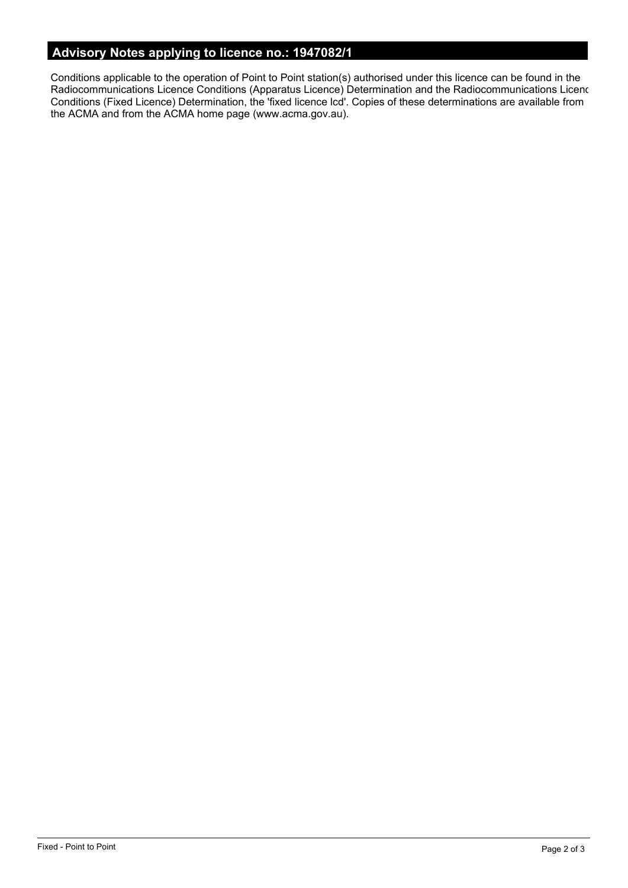# **Advisory Notes applying to licence no.: 1947082/1**

Conditions applicable to the operation of Point to Point station(s) authorised under this licence can be found in the Radiocommunications Licence Conditions (Apparatus Licence) Determination and the Radiocommunications Licence Conditions (Fixed Licence) Determination, the 'fixed licence lcd'. Copies of these determinations are available from the ACMA and from the ACMA home page (www.acma.gov.au).